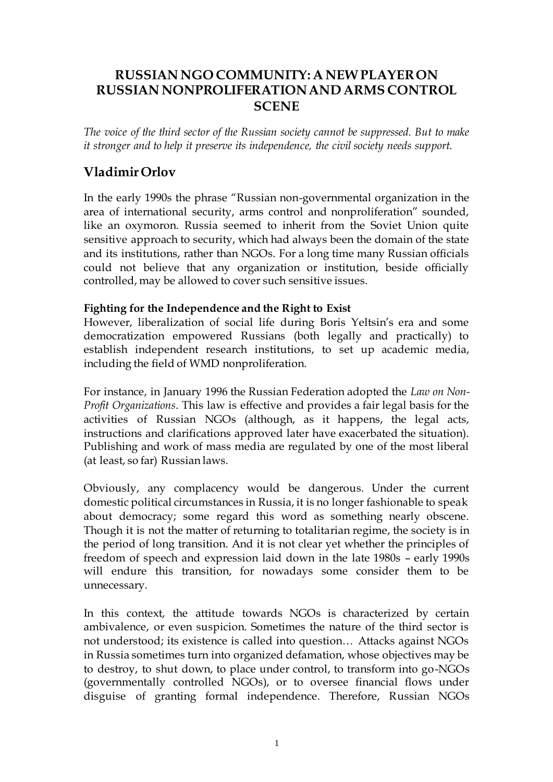# **RUSSIAN NGO COMMUNITY: A NEW PLAYER ON RUSSIAN NONPROLIFERATION AND ARMS CONTROL SCENE**

*The voice of the third sector of the Russian society cannot be suppressed. But to make it stronger and to help it preserve its independence, the civil society needs support.*

# **Vladimir Orlov**

In the early 1990s the phrase "Russian non-governmental organization in the area of international security, arms control and nonproliferation" sounded, like an oxymoron. Russia seemed to inherit from the Soviet Union quite sensitive approach to security, which had always been the domain of the state and its institutions, rather than NGOs. For a long time many Russian officials could not believe that any organization or institution, beside officially controlled, may be allowed to cover such sensitive issues.

#### **Fighting for the Independence and the Right to Exist**

However, liberalization of social life during Boris Yeltsin's era and some democratization empowered Russians (both legally and practically) to establish independent research institutions, to set up academic media, including the field of WMD nonproliferation.

For instance, in January 1996 the Russian Federation adopted the *Law on Non-Profit Organizations*. This law is effective and provides a fair legal basis for the activities of Russian NGOs (although, as it happens, the legal acts, instructions and clarifications approved later have exacerbated the situation). Publishing and work of mass media are regulated by one of the most liberal (at least, so far) Russian laws.

Obviously, any complacency would be dangerous. Under the current domestic political circumstances in Russia, it is no longer fashionable to speak about democracy; some regard this word as something nearly obscene. Though it is not the matter of returning to totalitarian regime, the society is in the period of long transition. And it is not clear yet whether the principles of freedom of speech and expression laid down in the late 1980s – early 1990s will endure this transition, for nowadays some consider them to be unnecessary.

In this context, the attitude towards NGOs is characterized by certain ambivalence, or even suspicion. Sometimes the nature of the third sector is not understood; its existence is called into question… Attacks against NGOs in Russia sometimes turn into organized defamation, whose objectives may be to destroy, to shut down, to place under control, to transform into go-NGOs (governmentally controlled NGOs), or to oversee financial flows under disguise of granting formal independence. Therefore, Russian NGOs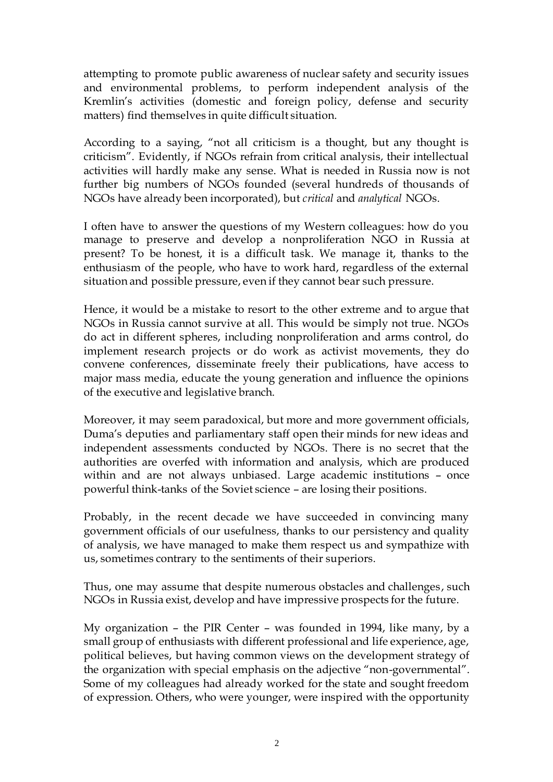attempting to promote public awareness of nuclear safety and security issues and environmental problems, to perform independent analysis of the Kremlin's activities (domestic and foreign policy, defense and security matters) find themselves in quite difficult situation.

According to a saying, "not all criticism is a thought, but any thought is criticism". Evidently, if NGOs refrain from critical analysis, their intellectual activities will hardly make any sense. What is needed in Russia now is not further big numbers of NGOs founded (several hundreds of thousands of NGOs have already been incorporated), but *critical* and *analytical* NGOs.

I often have to answer the questions of my Western colleagues: how do you manage to preserve and develop a nonproliferation NGO in Russia at present? To be honest, it is a difficult task. We manage it, thanks to the enthusiasm of the people, who have to work hard, regardless of the external situation and possible pressure, even if they cannot bear such pressure.

Hence, it would be a mistake to resort to the other extreme and to argue that NGOs in Russia cannot survive at all. This would be simply not true. NGOs do act in different spheres, including nonproliferation and arms control, do implement research projects or do work as activist movements, they do convene conferences, disseminate freely their publications, have access to major mass media, educate the young generation and influence the opinions of the executive and legislative branch.

Moreover, it may seem paradoxical, but more and more government officials, Duma's deputies and parliamentary staff open their minds for new ideas and independent assessments conducted by NGOs. There is no secret that the authorities are overfed with information and analysis, which are produced within and are not always unbiased. Large academic institutions – once powerful think-tanks of the Soviet science – are losing their positions.

Probably, in the recent decade we have succeeded in convincing many government officials of our usefulness, thanks to our persistency and quality of analysis, we have managed to make them respect us and sympathize with us, sometimes contrary to the sentiments of their superiors.

Thus, one may assume that despite numerous obstacles and challenges, such NGOs in Russia exist, develop and have impressive prospects for the future.

My organization – the PIR Center – was founded in 1994, like many, by a small group of enthusiasts with different professional and life experience, age, political believes, but having common views on the development strategy of the organization with special emphasis on the adjective "non-governmental". Some of my colleagues had already worked for the state and sought freedom of expression. Others, who were younger, were inspired with the opportunity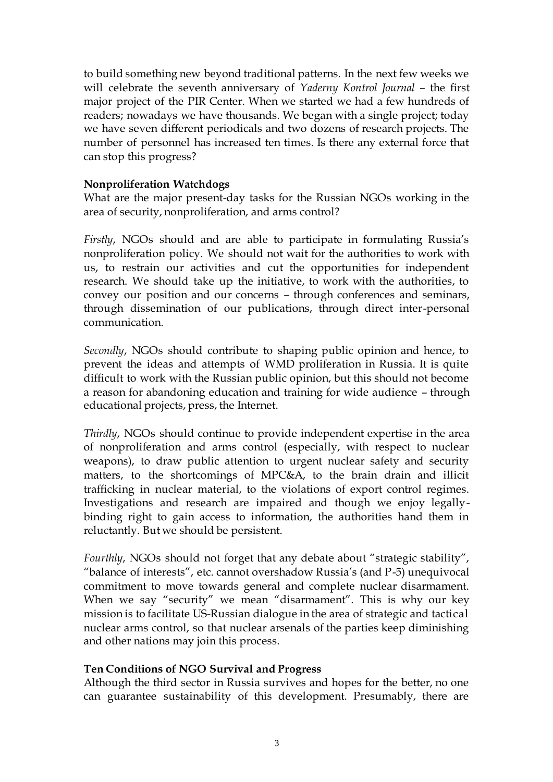to build something new beyond traditional patterns. In the next few weeks we will celebrate the seventh anniversary of *Yaderny Kontrol Journal* – the first major project of the PIR Center. When we started we had a few hundreds of readers; nowadays we have thousands. We began with a single project; today we have seven different periodicals and two dozens of research projects. The number of personnel has increased ten times. Is there any external force that can stop this progress?

#### **Nonproliferation Watchdogs**

What are the major present-day tasks for the Russian NGOs working in the area of security, nonproliferation, and arms control?

*Firstly*, NGOs should and are able to participate in formulating Russia's nonproliferation policy. We should not wait for the authorities to work with us, to restrain our activities and cut the opportunities for independent research. We should take up the initiative, to work with the authorities, to convey our position and our concerns – through conferences and seminars, through dissemination of our publications, through direct inter-personal communication.

*Secondly*, NGOs should contribute to shaping public opinion and hence, to prevent the ideas and attempts of WMD proliferation in Russia. It is quite difficult to work with the Russian public opinion, but this should not become a reason for abandoning education and training for wide audience – through educational projects, press, the Internet.

*Thirdly*, NGOs should continue to provide independent expertise in the area of nonproliferation and arms control (especially, with respect to nuclear weapons), to draw public attention to urgent nuclear safety and security matters, to the shortcomings of MPC&A, to the brain drain and illicit trafficking in nuclear material, to the violations of export control regimes. Investigations and research are impaired and though we enjoy legallybinding right to gain access to information, the authorities hand them in reluctantly. But we should be persistent.

*Fourthly*, NGOs should not forget that any debate about "strategic stability", "balance of interests", etc. cannot overshadow Russia's (and P-5) unequivocal commitment to move towards general and complete nuclear disarmament. When we say "security" we mean "disarmament". This is why our key mission is to facilitate US-Russian dialogue in the area of strategic and tactical nuclear arms control, so that nuclear arsenals of the parties keep diminishing and other nations may join this process.

### **Ten Conditions of NGO Survival and Progress**

Although the third sector in Russia survives and hopes for the better, no one can guarantee sustainability of this development. Presumably, there are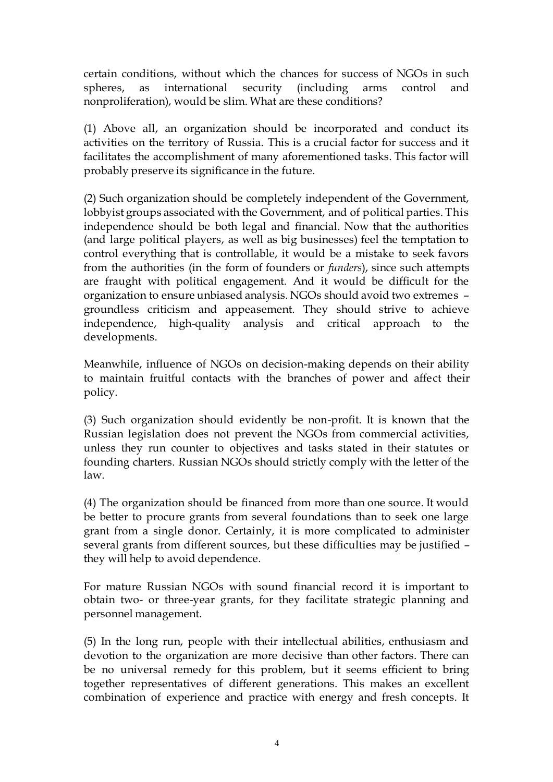certain conditions, without which the chances for success of NGOs in such spheres, as international security (including arms control and nonproliferation), would be slim. What are these conditions?

(1) Above all, an organization should be incorporated and conduct its activities on the territory of Russia. This is a crucial factor for success and it facilitates the accomplishment of many aforementioned tasks. This factor will probably preserve its significance in the future.

(2) Such organization should be completely independent of the Government, lobbyist groups associated with the Government, and of political parties. This independence should be both legal and financial. Now that the authorities (and large political players, as well as big businesses) feel the temptation to control everything that is controllable, it would be a mistake to seek favors from the authorities (in the form of founders or *funders*), since such attempts are fraught with political engagement. And it would be difficult for the organization to ensure unbiased analysis. NGOs should avoid two extremes – groundless criticism and appeasement. They should strive to achieve independence, high-quality analysis and critical approach to the developments.

Meanwhile, influence of NGOs on decision-making depends on their ability to maintain fruitful contacts with the branches of power and affect their policy.

(3) Such organization should evidently be non-profit. It is known that the Russian legislation does not prevent the NGOs from commercial activities, unless they run counter to objectives and tasks stated in their statutes or founding charters. Russian NGOs should strictly comply with the letter of the law.

(4) The organization should be financed from more than one source. It would be better to procure grants from several foundations than to seek one large grant from a single donor. Certainly, it is more complicated to administer several grants from different sources, but these difficulties may be justified – they will help to avoid dependence.

For mature Russian NGOs with sound financial record it is important to obtain two- or three-year grants, for they facilitate strategic planning and personnel management.

(5) In the long run, people with their intellectual abilities, enthusiasm and devotion to the organization are more decisive than other factors. There can be no universal remedy for this problem, but it seems efficient to bring together representatives of different generations. This makes an excellent combination of experience and practice with energy and fresh concepts. It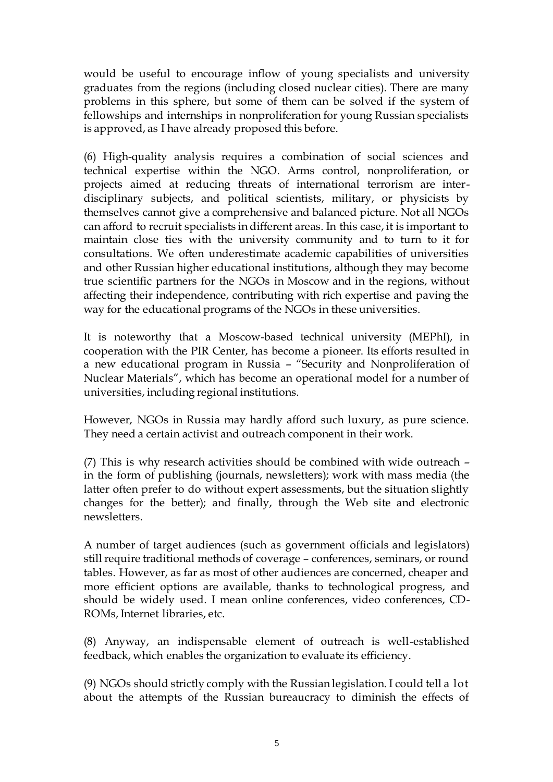would be useful to encourage inflow of young specialists and university graduates from the regions (including closed nuclear cities). There are many problems in this sphere, but some of them can be solved if the system of fellowships and internships in nonproliferation for young Russian specialists is approved, as I have already proposed this before.

(6) High-quality analysis requires a combination of social sciences and technical expertise within the NGO. Arms control, nonproliferation, or projects aimed at reducing threats of international terrorism are interdisciplinary subjects, and political scientists, military, or physicists by themselves cannot give a comprehensive and balanced picture. Not all NGOs can afford to recruit specialists in different areas. In this case, it is important to maintain close ties with the university community and to turn to it for consultations. We often underestimate academic capabilities of universities and other Russian higher educational institutions, although they may become true scientific partners for the NGOs in Moscow and in the regions, without affecting their independence, contributing with rich expertise and paving the way for the educational programs of the NGOs in these universities.

It is noteworthy that a Moscow-based technical university (MEPhI), in cooperation with the PIR Center, has become a pioneer. Its efforts resulted in a new educational program in Russia – "Security and Nonproliferation of Nuclear Materials", which has become an operational model for a number of universities, including regional institutions.

However, NGOs in Russia may hardly afford such luxury, as pure science. They need a certain activist and outreach component in their work.

(7) This is why research activities should be combined with wide outreach – in the form of publishing (journals, newsletters); work with mass media (the latter often prefer to do without expert assessments, but the situation slightly changes for the better); and finally, through the Web site and electronic newsletters.

A number of target audiences (such as government officials and legislators) still require traditional methods of coverage – conferences, seminars, or round tables. However, as far as most of other audiences are concerned, cheaper and more efficient options are available, thanks to technological progress, and should be widely used. I mean online conferences, video conferences, CD-ROMs, Internet libraries, etc.

(8) Anyway, an indispensable element of outreach is well-established feedback, which enables the organization to evaluate its efficiency.

(9) NGOs should strictly comply with the Russian legislation. I could tell a lot about the attempts of the Russian bureaucracy to diminish the effects of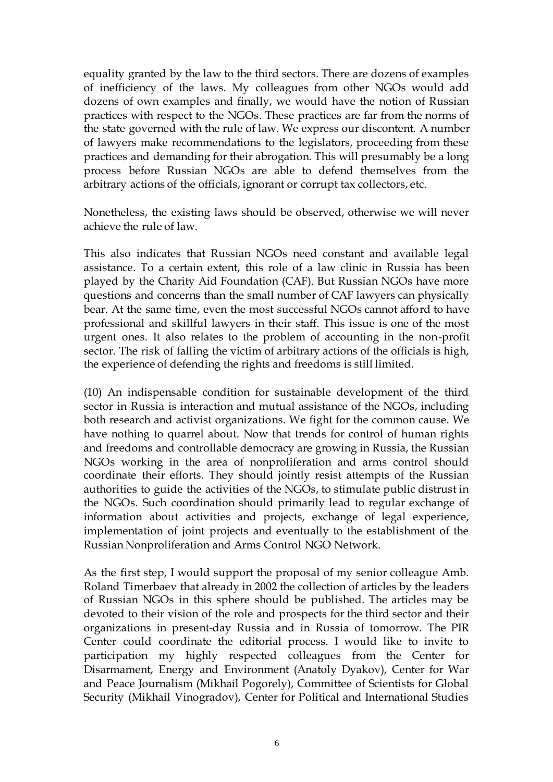equality granted by the law to the third sectors. There are dozens of examples of inefficiency of the laws. My colleagues from other NGOs would add dozens of own examples and finally, we would have the notion of Russian practices with respect to the NGOs. These practices are far from the norms of the state governed with the rule of law. We express our discontent. A number of lawyers make recommendations to the legislators, proceeding from these practices and demanding for their abrogation. This will presumably be a long process before Russian NGOs are able to defend themselves from the arbitrary actions of the officials, ignorant or corrupt tax collectors, etc.

Nonetheless, the existing laws should be observed, otherwise we will never achieve the rule of law.

This also indicates that Russian NGOs need constant and available legal assistance. To a certain extent, this role of a law clinic in Russia has been played by the Charity Aid Foundation (CAF). But Russian NGOs have more questions and concerns than the small number of CAF lawyers can physically bear. At the same time, even the most successful NGOs cannot afford to have professional and skillful lawyers in their staff. This issue is one of the most urgent ones. It also relates to the problem of accounting in the non-profit sector. The risk of falling the victim of arbitrary actions of the officials is high, the experience of defending the rights and freedoms is still limited.

(10) An indispensable condition for sustainable development of the third sector in Russia is interaction and mutual assistance of the NGOs, including both research and activist organizations. We fight for the common cause. We have nothing to quarrel about. Now that trends for control of human rights and freedoms and controllable democracy are growing in Russia, the Russian NGOs working in the area of nonproliferation and arms control should coordinate their efforts. They should jointly resist attempts of the Russian authorities to guide the activities of the NGOs, to stimulate public distrust in the NGOs. Such coordination should primarily lead to regular exchange of information about activities and projects, exchange of legal experience, implementation of joint projects and eventually to the establishment of the Russian Nonproliferation and Arms Control NGO Network.

As the first step, I would support the proposal of my senior colleague Amb. Roland Timerbaev that already in 2002 the collection of articles by the leaders of Russian NGOs in this sphere should be published. The articles may be devoted to their vision of the role and prospects for the third sector and their organizations in present-day Russia and in Russia of tomorrow. The PIR Center could coordinate the editorial process. I would like to invite to participation my highly respected colleagues from the Center for Disarmament, Energy and Environment (Anatoly Dyakov), Center for War and Peace Journalism (Mikhail Pogorely), Committee of Scientists for Global Security (Mikhail Vinogradov), Center for Political and International Studies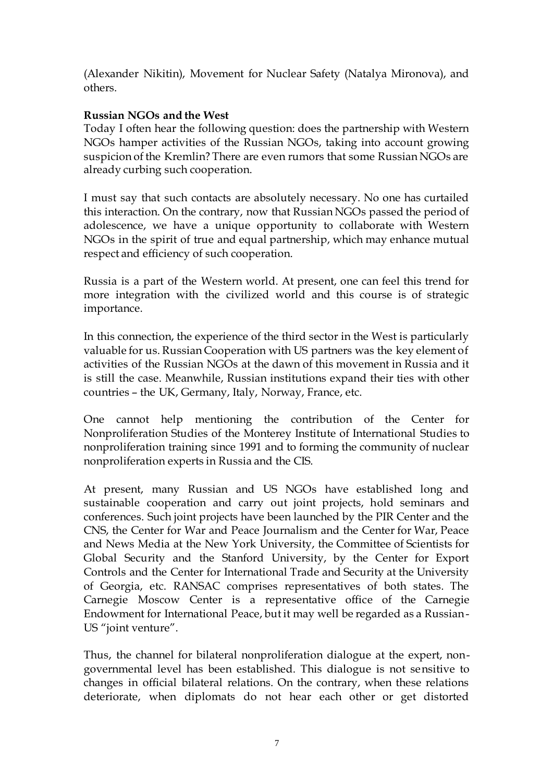(Alexander Nikitin), Movement for Nuclear Safety (Natalya Mironova), and others.

### **Russian NGOs and the West**

Today I often hear the following question: does the partnership with Western NGOs hamper activities of the Russian NGOs, taking into account growing suspicion of the Kremlin? There are even rumors that some Russian NGOs are already curbing such cooperation.

I must say that such contacts are absolutely necessary. No one has curtailed this interaction. On the contrary, now that Russian NGOs passed the period of adolescence, we have a unique opportunity to collaborate with Western NGOs in the spirit of true and equal partnership, which may enhance mutual respect and efficiency of such cooperation.

Russia is a part of the Western world. At present, one can feel this trend for more integration with the civilized world and this course is of strategic importance.

In this connection, the experience of the third sector in the West is particularly valuable for us. Russian Cooperation with US partners was the key element of activities of the Russian NGOs at the dawn of this movement in Russia and it is still the case. Meanwhile, Russian institutions expand their ties with other countries – the UK, Germany, Italy, Norway, France, etc.

One cannot help mentioning the contribution of the Center for Nonproliferation Studies of the Monterey Institute of International Studies to nonproliferation training since 1991 and to forming the community of nuclear nonproliferation experts in Russia and the CIS.

At present, many Russian and US NGOs have established long and sustainable cooperation and carry out joint projects, hold seminars and conferences. Such joint projects have been launched by the PIR Center and the CNS, the Center for War and Peace Journalism and the Center for War, Peace and News Media at the New York University, the Committee of Scientists for Global Security and the Stanford University, by the Center for Export Controls and the Center for International Trade and Security at the University of Georgia, etc. RANSAC comprises representatives of both states. The Carnegie Moscow Center is a representative office of the Carnegie Endowment for International Peace, but it may well be regarded as a Russian-US "joint venture".

Thus, the channel for bilateral nonproliferation dialogue at the expert, nongovernmental level has been established. This dialogue is not sensitive to changes in official bilateral relations. On the contrary, when these relations deteriorate, when diplomats do not hear each other or get distorted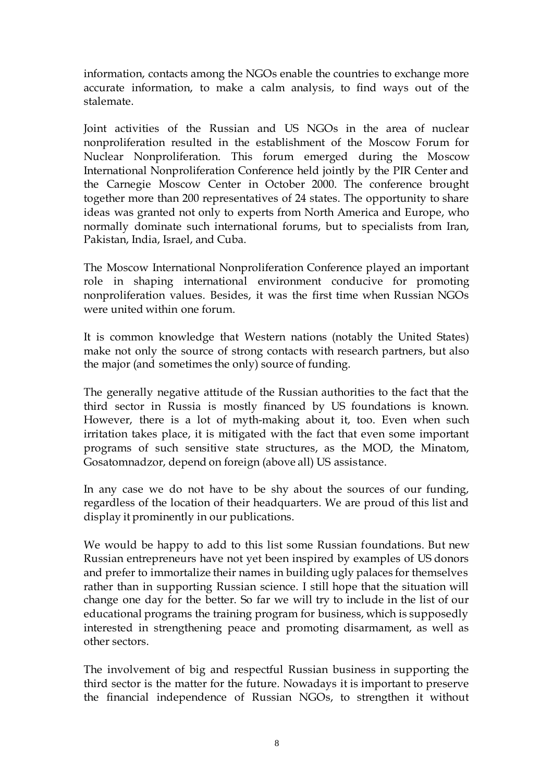information, contacts among the NGOs enable the countries to exchange more accurate information, to make a calm analysis, to find ways out of the stalemate.

Joint activities of the Russian and US NGOs in the area of nuclear nonproliferation resulted in the establishment of the Moscow Forum for Nuclear Nonproliferation. This forum emerged during the Moscow International Nonproliferation Conference held jointly by the PIR Center and the Carnegie Moscow Center in October 2000. The conference brought together more than 200 representatives of 24 states. The opportunity to share ideas was granted not only to experts from North America and Europe, who normally dominate such international forums, but to specialists from Iran, Pakistan, India, Israel, and Cuba.

The Moscow International Nonproliferation Conference played an important role in shaping international environment conducive for promoting nonproliferation values. Besides, it was the first time when Russian NGOs were united within one forum.

It is common knowledge that Western nations (notably the United States) make not only the source of strong contacts with research partners, but also the major (and sometimes the only) source of funding.

The generally negative attitude of the Russian authorities to the fact that the third sector in Russia is mostly financed by US foundations is known. However, there is a lot of myth-making about it, too. Even when such irritation takes place, it is mitigated with the fact that even some important programs of such sensitive state structures, as the MOD, the Minatom, Gosatomnadzor, depend on foreign (above all) US assistance.

In any case we do not have to be shy about the sources of our funding, regardless of the location of their headquarters. We are proud of this list and display it prominently in our publications.

We would be happy to add to this list some Russian foundations. But new Russian entrepreneurs have not yet been inspired by examples of US donors and prefer to immortalize their names in building ugly palaces for themselves rather than in supporting Russian science. I still hope that the situation will change one day for the better. So far we will try to include in the list of our educational programs the training program for business, which is supposedly interested in strengthening peace and promoting disarmament, as well as other sectors.

The involvement of big and respectful Russian business in supporting the third sector is the matter for the future. Nowadays it is important to preserve the financial independence of Russian NGOs, to strengthen it without